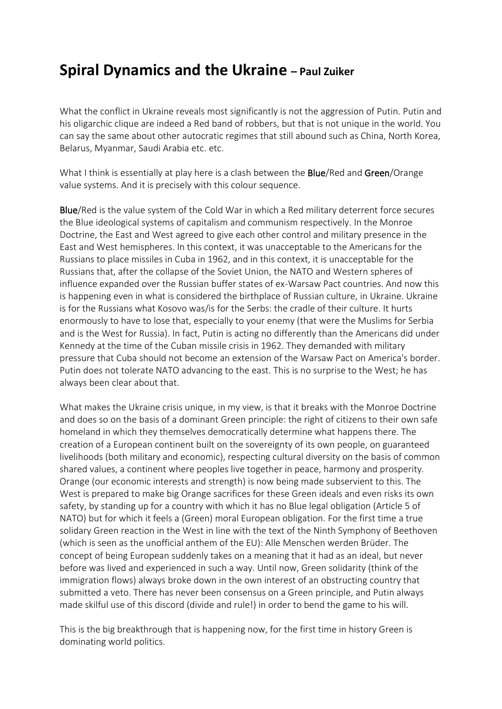## **Spiral Dynamics and the Ukraine – Paul Zuiker**

What the conflict in Ukraine reveals most significantly is not the aggression of Putin. Putin and his oligarchic clique are indeed a Red band of robbers, but that is not unique in the world. You can say the same about other autocratic regimes that still abound such as China, North Korea, Belarus, Myanmar, Saudi Arabia etc. etc.

What I think is essentially at play here is a clash between the **Blue**/Red and Green/Orange value systems. And it is precisely with this colour sequence.

Blue/Red is the value system of the Cold War in which a Red military deterrent force secures the Blue ideological systems of capitalism and communism respectively. In the Monroe Doctrine, the East and West agreed to give each other control and military presence in the East and West hemispheres. In this context, it was unacceptable to the Americans for the Russians to place missiles in Cuba in 1962, and in this context, it is unacceptable for the Russians that, after the collapse of the Soviet Union, the NATO and Western spheres of influence expanded over the Russian buffer states of ex-Warsaw Pact countries. And now this is happening even in what is considered the birthplace of Russian culture, in Ukraine. Ukraine is for the Russians what Kosovo was/is for the Serbs: the cradle of their culture. It hurts enormously to have to lose that, especially to your enemy (that were the Muslims for Serbia and is the West for Russia). In fact, Putin is acting no differently than the Americans did under Kennedy at the time of the Cuban missile crisis in 1962. They demanded with military pressure that Cuba should not become an extension of the Warsaw Pact on America's border. Putin does not tolerate NATO advancing to the east. This is no surprise to the West; he has always been clear about that.

What makes the Ukraine crisis unique, in my view, is that it breaks with the Monroe Doctrine and does so on the basis of a dominant Green principle: the right of citizens to their own safe homeland in which they themselves democratically determine what happens there. The creation of a European continent built on the sovereignty of its own people, on guaranteed livelihoods (both military and economic), respecting cultural diversity on the basis of common shared values, a continent where peoples live together in peace, harmony and prosperity. Orange (our economic interests and strength) is now being made subservient to this. The West is prepared to make big Orange sacrifices for these Green ideals and even risks its own safety, by standing up for a country with which it has no Blue legal obligation (Article 5 of NATO) but for which it feels a (Green) moral European obligation. For the first time a true solidary Green reaction in the West in line with the text of the Ninth Symphony of Beethoven (which is seen as the unofficial anthem of the EU): Alle Menschen werden Brüder. The concept of being European suddenly takes on a meaning that it had as an ideal, but never before was lived and experienced in such a way. Until now, Green solidarity (think of the immigration flows) always broke down in the own interest of an obstructing country that submitted a veto. There has never been consensus on a Green principle, and Putin always made skilful use of this discord (divide and rule!) in order to bend the game to his will.

This is the big breakthrough that is happening now, for the first time in history Green is dominating world politics.